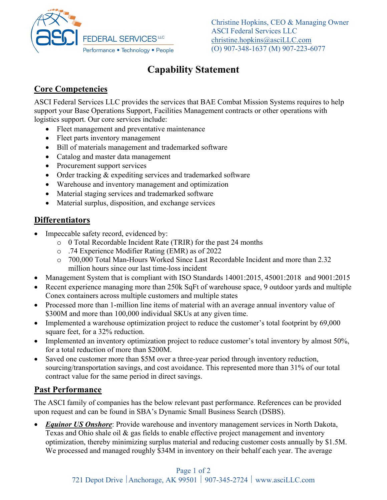

Christine Hopkins, CEO & Managing Owner ASCI Federal Services LLC christine.hopkins@asciLLC.com (O) 907-348-1637 (M) 907-223-6077

# **Capability Statement**

### **Core Competencies**

ASCI Federal Services LLC provides the services that BAE Combat Mission Systems requires to help support your Base Operations Support, Facilities Management contracts or other operations with logistics support. Our core services include:

- Fleet management and preventative maintenance
- Fleet parts inventory management
- Bill of materials management and trademarked software
- Catalog and master data management
- Procurement support services
- Order tracking & expediting services and trademarked software
- Warehouse and inventory management and optimization
- Material staging services and trademarked software
- Material surplus, disposition, and exchange services

#### **Differentiators**

- Impeccable safety record, evidenced by:
	- o 0 Total Recordable Incident Rate (TRIR) for the past 24 months
	- o .74 Experience Modifier Rating (EMR) as of 2022
	- o 700,000 Total Man-Hours Worked Since Last Recordable Incident and more than 2.32 million hours since our last time-loss incident
- Management System that is compliant with ISO Standards 14001:2015, 45001:2018 and 9001:2015
- Recent experience managing more than 250k SqFt of warehouse space, 9 outdoor yards and multiple Conex containers across multiple customers and multiple states
- Processed more than 1-million line items of material with an average annual inventory value of \$300M and more than 100,000 individual SKUs at any given time.
- Implemented a warehouse optimization project to reduce the customer's total footprint by 69,000 square feet, for a 32% reduction.
- Implemented an inventory optimization project to reduce customer's total inventory by almost 50%, for a total reduction of more than \$200M.
- Saved one customer more than \$5M over a three-year period through inventory reduction, sourcing/transportation savings, and cost avoidance. This represented more than 31% of our total contract value for the same period in direct savings.

#### **Past Performance**

The ASCI family of companies has the below relevant past performance. References can be provided upon request and can be found in SBA's Dynamic Small Business Search (DSBS).

**Equinor US Onshore**: Provide warehouse and inventory management services in North Dakota, Texas and Ohio shale oil & gas fields to enable effective project management and inventory optimization, thereby minimizing surplus material and reducing customer costs annually by \$1.5M. We processed and managed roughly \$34M in inventory on their behalf each year. The average